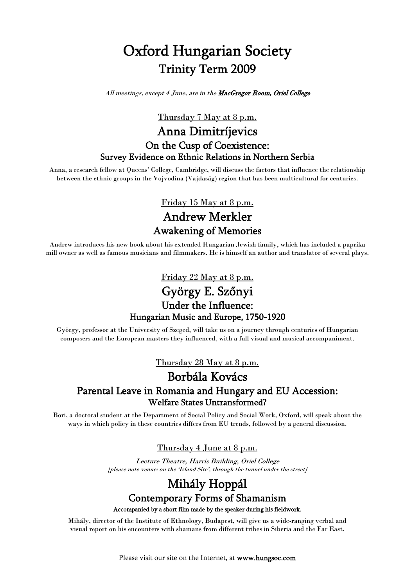# Oxford Hungarian Society Trinity Term 2009

All meetings, except 4 June, are in the MacGregor Room, Oriel College

Thursday 7 May at 8 p.m.

#### Anna Dimitríjevics On the Cusp of Coexistence: Survey Evidence on Ethnic Relations in Northern Serbia

Anna, a research fellow at Queens' College, Cambridge, will discuss the factors that influence the relationship between the ethnic groups in the Vojvodina (Vajdaság) region that has been multicultural for centuries.

> Friday 15 May at 8 p.m. Andrew Merkler Awakening of Memories

Andrew introduces his new book about his extended Hungarian Jewish family, which has included a paprika mill owner as well as famous musicians and filmmakers. He is himself an author and translator of several plays.

### Friday 22 May at 8 p.m. György E. Szőnyi Under the Influence: Hungarian Music and Europe, 1750-1920

György, professor at the University of Szeged, will take us on a journey through centuries of Hungarian composers and the European masters they influenced, with a full visual and musical accompaniment.

Thursday 28 May at 8 p.m.

### Borbála Kovács Parental Leave in Romania and Hungary and EU Accession: Welfare States Untransformed?

Bori, a doctoral student at the Department of Social Policy and Social Work, Oxford, will speak about the ways in which policy in these countries differs from EU trends, followed by a general discussion.

#### Thursday 4 June at 8 p.m.

Lecture Theatre, Harris Building, Oriel College [please note venue: on the 'Island Site', through the tunnel under the street]

## Mihály Hoppál Contemporary Forms of Shamanism

Accompanied by a short film made by the speaker during his fieldwork.

Mihály, director of the Institute of Ethnology, Budapest, will give us a wide-ranging verbal and visual report on his encounters with shamans from different tribes in Siberia and the Far East.